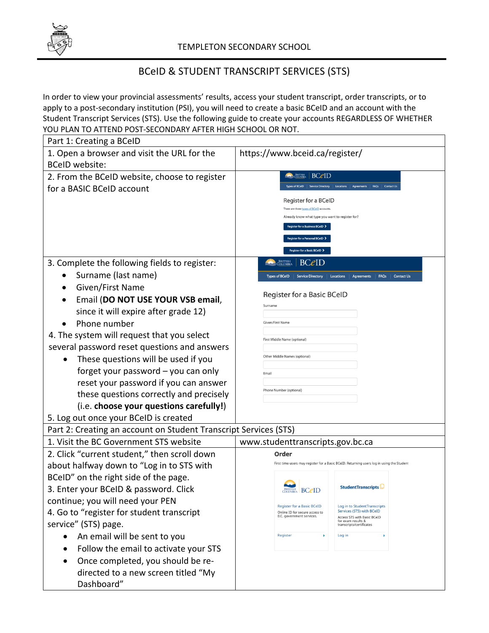

## BCeID & STUDENT TRANSCRIPT SERVICES (STS)

In order to view your provincial assessments' results, access your student transcript, order transcripts, or to apply to a post-secondary institution (PSI), you will need to create a basic BCeID and an account with the Student Transcript Services (STS). Use the following guide to create your accounts REGARDLESS OF WHETHER YOU PLAN TO ATTEND POST-SECONDARY AFTER HIGH SCHOOL OR NOT.

| Part 1: Creating a BCeID                                         |                                                                                                                         |
|------------------------------------------------------------------|-------------------------------------------------------------------------------------------------------------------------|
| 1. Open a browser and visit the URL for the                      | https://www.bceid.ca/register/                                                                                          |
| <b>BCeID</b> website:                                            |                                                                                                                         |
| 2. From the BCeID website, choose to register                    | <b>BCeID</b><br>-BRITISH<br>AQLUMBIA                                                                                    |
| for a BASIC BCeID account                                        | <b>FAOs</b><br>Types of BCeID<br><b>Service Directory</b><br>Locations<br>Contact U                                     |
|                                                                  | Register for a BCeID                                                                                                    |
|                                                                  | There are three types of BCeID accounts.<br>Already know what type you want to register for?                            |
|                                                                  | Register for a Business BCeID >                                                                                         |
|                                                                  | <b>gister for a Personal BCeID</b> >                                                                                    |
|                                                                  | Register for a Basic BCeID >                                                                                            |
| 3. Complete the following fields to register:                    | British<br>Columbia<br><b>BC</b> <i>e</i> ID                                                                            |
| Surname (last name)                                              | <b>Types of BCeID</b><br><b>Contact Us</b><br><b>Service Directory</b><br>Locations<br><b>FAOs</b><br>Aareements        |
| Given/First Name                                                 |                                                                                                                         |
| Email (DO NOT USE YOUR VSB email,                                | Register for a Basic BCeID                                                                                              |
| since it will expire after grade 12)                             | Surname                                                                                                                 |
| Phone number                                                     | Given/First Name                                                                                                        |
| 4. The system will request that you select                       | First Middle Name (optional)                                                                                            |
| several password reset questions and answers                     |                                                                                                                         |
| These questions will be used if you                              | Other Middle Names (optional)                                                                                           |
| forget your password - you can only                              | Email                                                                                                                   |
| reset your password if you can answer                            |                                                                                                                         |
| these questions correctly and precisely                          | Phone Number (optional)                                                                                                 |
| (i.e. choose your questions carefully!)                          |                                                                                                                         |
| 5. Log out once your BCeID is created                            |                                                                                                                         |
| Part 2: Creating an account on Student Transcript Services (STS) |                                                                                                                         |
| 1. Visit the BC Government STS website                           | www.studenttranscripts.gov.bc.ca                                                                                        |
| 2. Click "current student," then scroll down                     | Order                                                                                                                   |
| about halfway down to "Log in to STS with                        | First time users may register for a Basic BCeID. Returning users log in using the Student                               |
| BCeID" on the right side of the page.                            |                                                                                                                         |
| 3. Enter your BCeID & password. Click                            | StudentTranscripts<br><b>BCeID</b>                                                                                      |
| continue; you will need your PEN                                 | <b>Register for a Basic BCeID</b><br>Log in to StudentTranscripts                                                       |
| 4. Go to "register for student transcript                        | Services (STS) with BCeID<br>Online ID for secure access to<br>B.C. government services.<br>Access STS with Basic BCeID |
| service" (STS) page.                                             | for exam results &<br>transcripts/certificates                                                                          |
| An email will be sent to you                                     | Register<br>Log in                                                                                                      |
| Follow the email to activate your STS                            |                                                                                                                         |
| Once completed, you should be re-                                |                                                                                                                         |
| directed to a new screen titled "My                              |                                                                                                                         |
| Dashboard"                                                       |                                                                                                                         |